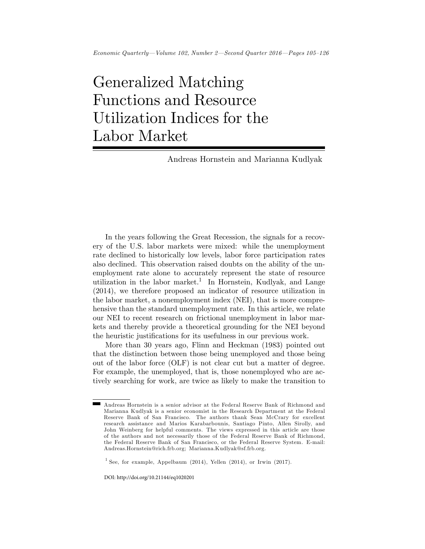# Generalized Matching Functions and Resource Utilization Indices for the Labor Market

Andreas Hornstein and Marianna Kudlyak

In the years following the Great Recession, the signals for a recovery of the U.S. labor markets were mixed: while the unemployment rate declined to historically low levels, labor force participation rates also declined. This observation raised doubts on the ability of the unemployment rate alone to accurately represent the state of resource utilization in the labor market.<sup>1</sup> In Hornstein, Kudlyak, and Lange (2014), we therefore proposed an indicator of resource utilization in the labor market, a nonemployment index (NEI), that is more comprehensive than the standard unemployment rate. In this article, we relate our NEI to recent research on frictional unemployment in labor markets and thereby provide a theoretical grounding for the NEI beyond the heuristic justifications for its usefulness in our previous work.

More than 30 years ago, Flinn and Heckman (1983) pointed out that the distinction between those being unemployed and those being out of the labor force (OLF) is not clear cut but a matter of degree. For example, the unemployed, that is, those nonemployed who are actively searching for work, are twice as likely to make the transition to

DOI: http://doi.org/10.21144/eq1020201

Andreas Hornstein is a senior advisor at the Federal Reserve Bank of Richmond and Marianna Kudlyak is a senior economist in the Research Department at the Federal Reserve Bank of San Francisco. The authors thank Sean McCrary for excellent research assistance and Marios Karabarbounis, Santiago Pinto, Allen Sirolly, and John Weinberg for helpful comments. The views expressed in this article are those of the authors and not necessarily those of the Federal Reserve Bank of Richmond, the Federal Reserve Bank of San Francisco, or the Federal Reserve System. E-mail: Andreas.Hornstein@rich.frb.org; Marianna.Kudlyak@sf.frb.org.

<sup>&</sup>lt;sup>1</sup> See, for example, Appelbaum (2014), Yellen (2014), or Irwin (2017).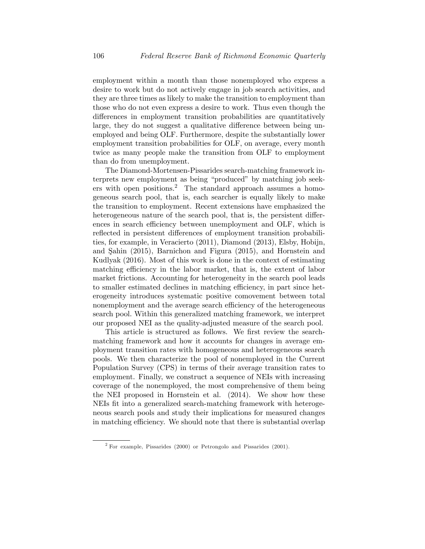employment within a month than those nonemployed who express a desire to work but do not actively engage in job search activities, and they are three times as likely to make the transition to employment than those who do not even express a desire to work. Thus even though the differences in employment transition probabilities are quantitatively large, they do not suggest a qualitative difference between being unemployed and being OLF. Furthermore, despite the substantially lower employment transition probabilities for OLF, on average, every month twice as many people make the transition from OLF to employment than do from unemployment.

The Diamond-Mortensen-Pissarides search-matching framework interprets new employment as being "produced" by matching job seekers with open positions.<sup>2</sup> The standard approach assumes a homogeneous search pool, that is, each searcher is equally likely to make the transition to employment. Recent extensions have emphasized the heterogeneous nature of the search pool, that is, the persistent differences in search efficiency between unemployment and OLF, which is reflected in persistent differences of employment transition probabilities, for example, in Veracierto (2011), Diamond (2013), Elsby, Hobijn, and Şahin  $(2015)$ , Barnichon and Figura  $(2015)$ , and Hornstein and Kudlyak (2016). Most of this work is done in the context of estimating matching efficiency in the labor market, that is, the extent of labor market frictions. Accounting for heterogeneity in the search pool leads to smaller estimated declines in matching efficiency, in part since heterogeneity introduces systematic positive comovement between total nonemployment and the average search efficiency of the heterogeneous search pool. Within this generalized matching framework, we interpret our proposed NEI as the quality-adjusted measure of the search pool.

This article is structured as follows. We first review the searchmatching framework and how it accounts for changes in average employment transition rates with homogeneous and heterogeneous search pools. We then characterize the pool of nonemployed in the Current Population Survey (CPS) in terms of their average transition rates to employment. Finally, we construct a sequence of NEIs with increasing coverage of the nonemployed, the most comprehensive of them being the NEI proposed in Hornstein et al. (2014). We show how these NEIs fit into a generalized search-matching framework with heterogeneous search pools and study their implications for measured changes in matching efficiency. We should note that there is substantial overlap

<sup>2</sup> For example, Pissarides (2000) or Petrongolo and Pissarides (2001).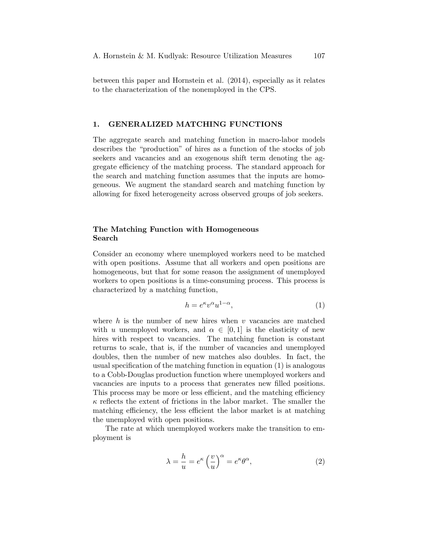between this paper and Hornstein et al. (2014), especially as it relates to the characterization of the nonemployed in the CPS.

#### 1. GENERALIZED MATCHING FUNCTIONS

The aggregate search and matching function in macro-labor models describes the "production" of hires as a function of the stocks of job seekers and vacancies and an exogenous shift term denoting the aggregate efficiency of the matching process. The standard approach for the search and matching function assumes that the inputs are homogeneous. We augment the standard search and matching function by allowing for fixed heterogeneity across observed groups of job seekers.

# The Matching Function with Homogeneous Search

Consider an economy where unemployed workers need to be matched with open positions. Assume that all workers and open positions are homogeneous, but that for some reason the assignment of unemployed workers to open positions is a time-consuming process. This process is characterized by a matching function,

$$
h = e^{\kappa} v^{\alpha} u^{1-\alpha},\tag{1}
$$

where  $h$  is the number of new hires when  $v$  vacancies are matched with u unemployed workers, and  $\alpha \in [0, 1]$  is the elasticity of new hires with respect to vacancies. The matching function is constant returns to scale, that is, if the number of vacancies and unemployed doubles, then the number of new matches also doubles. In fact, the usual specification of the matching function in equation  $(1)$  is analogous to a Cobb-Douglas production function where unemployed workers and vacancies are inputs to a process that generates new filled positions. This process may be more or less efficient, and the matching efficiency  $\kappa$  reflects the extent of frictions in the labor market. The smaller the matching efficiency, the less efficient the labor market is at matching the unemployed with open positions.

The rate at which unemployed workers make the transition to employment is

$$
\lambda = \frac{h}{u} = e^{\kappa} \left(\frac{v}{u}\right)^{\alpha} = e^{\kappa} \theta^{\alpha},\tag{2}
$$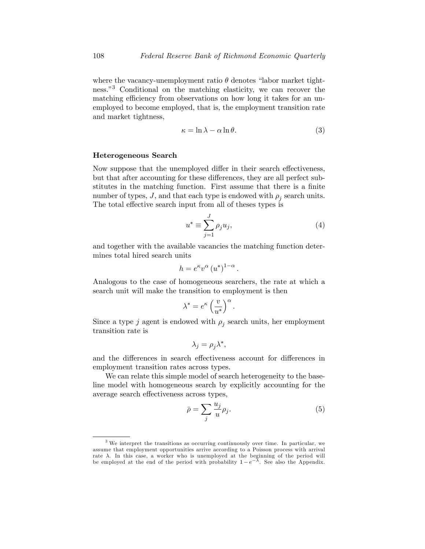where the vacancy-unemployment ratio  $\theta$  denotes "labor market tightness.<sup>3</sup> Conditional on the matching elasticity, we can recover the matching efficiency from observations on how long it takes for an unemployed to become employed, that is, the employment transition rate and market tightness,

$$
\kappa = \ln \lambda - \alpha \ln \theta. \tag{3}
$$

## Heterogeneous Search

Now suppose that the unemployed differ in their search effectiveness, but that after accounting for these differences, they are all perfect substitutes in the matching function. First assume that there is a finite number of types,  $J$ , and that each type is endowed with  $\rho_j$  search units. The total effective search input from all of theses types is

$$
u^* \equiv \sum_{j=1}^J \rho_j u_j,\tag{4}
$$

and together with the available vacancies the matching function determines total hired search units

$$
h = e^{\kappa} v^{\alpha} (u^*)^{1-\alpha}.
$$

Analogous to the case of homogeneous searchers, the rate at which a search unit will make the transition to employment is then

$$
\lambda^* = e^{\kappa} \left(\frac{v}{u^*}\right)^{\alpha}.
$$

Since a type j agent is endowed with  $\rho_j$  search units, her employment transition rate is

$$
\lambda_j = \rho_j \lambda^*,
$$

and the differences in search effectiveness account for differences in employment transition rates across types.

We can relate this simple model of search heterogeneity to the baseline model with homogeneous search by explicitly accounting for the average search effectiveness across types,

$$
\bar{\rho} = \sum_{j} \frac{u_j}{u} \rho_j. \tag{5}
$$

<sup>3</sup> We interpret the transitions as occurring continuously over time. In particular, we assume that employment opportunities arrive according to a Poisson process with arrival rate  $\lambda$ . In this case, a worker who is unemployed at the beginning of the period will be employed at the end of the period with probability  $1 - e^{-\overline{\lambda}}$ . See also the Appendix.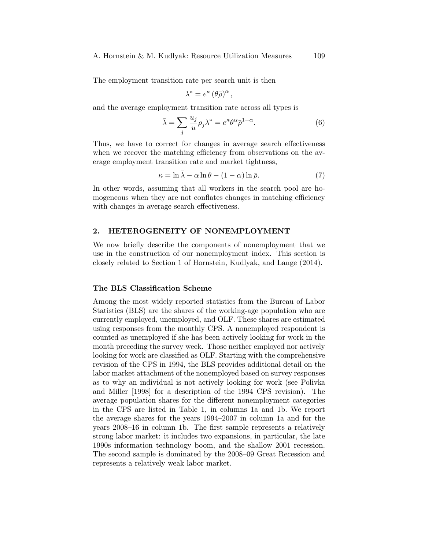#### A. Hornstein & M. Kudlyak: Resource Utilization Measures 109

The employment transition rate per search unit is then

$$
\lambda^* = e^{\kappa} (\theta \bar{\rho})^{\alpha},
$$

and the average employment transition rate across all types is

$$
\bar{\lambda} = \sum_{j} \frac{u_j}{u} \rho_j \lambda^* = e^{\kappa} \theta^{\alpha} \bar{\rho}^{1-\alpha}.
$$
 (6)

Thus, we have to correct for changes in average search effectiveness when we recover the matching efficiency from observations on the average employment transition rate and market tightness,

$$
\kappa = \ln \bar{\lambda} - \alpha \ln \theta - (1 - \alpha) \ln \bar{\rho}.
$$
 (7)

In other words, assuming that all workers in the search pool are homogeneous when they are not conflates changes in matching efficiency with changes in average search effectiveness.

## 2. HETEROGENEITY OF NONEMPLOYMENT

We now briefly describe the components of nonemployment that we use in the construction of our nonemployment index. This section is closely related to Section 1 of Hornstein, Kudlyak, and Lange (2014).

# The BLS Classification Scheme

Among the most widely reported statistics from the Bureau of Labor Statistics (BLS) are the shares of the working-age population who are currently employed, unemployed, and OLF. These shares are estimated using responses from the monthly CPS. A nonemployed respondent is counted as unemployed if she has been actively looking for work in the month preceding the survey week. Those neither employed nor actively looking for work are classified as OLF. Starting with the comprehensive revision of the CPS in 1994, the BLS provides additional detail on the labor market attachment of the nonemployed based on survey responses as to why an individual is not actively looking for work (see Polivka and Miller [1998] for a description of the 1994 CPS revision). The average population shares for the different nonemployment categories in the CPS are listed in Table 1, in columns 1a and 1b. We report the average shares for the years  $1994-2007$  in column 1a and for the years  $2008-16$  in column 1b. The first sample represents a relatively strong labor market: it includes two expansions, in particular, the late 1990s information technology boom, and the shallow 2001 recession. The second sample is dominated by the 2008–09 Great Recession and represents a relatively weak labor market.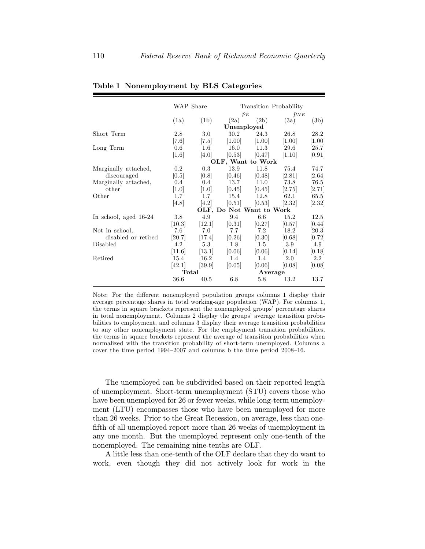|                       | WAP Share          |         | Transition Probability   |          |                     |         |  |
|-----------------------|--------------------|---------|--------------------------|----------|---------------------|---------|--|
|                       |                    |         | $p_E$                    |          | $p_{NE}$            |         |  |
|                       | (1a)               | (1b)    | (2a)                     | (2b)     | (3a)                | (3b)    |  |
|                       |                    |         |                          |          |                     |         |  |
| Short Term            | 2.8                | 3.0     | 30.2                     | 24.3     | 26.8                | 28.2    |  |
|                       | [7.6]              | [7.5]   | [1.00]                   | $[1.00]$ | $\left[1.00\right]$ | [1.00]  |  |
| Long Term             | 0.6                | $1.6\,$ | 16.0                     | 11.3     | 29.6                | 25.7    |  |
|                       | $\left[1.6\right]$ | [4.0]   | [0.53]                   | [0.47]   | [1.10]              | [0.91]  |  |
|                       | OLF, Want to Work  |         |                          |          |                     |         |  |
| Marginally attached,  | 0.2                | 0.3     | 13.9                     | 11.8     | 75.4                | 74.7    |  |
| discouraged           | [0.5]              | [0.8]   | [0.46]                   | [0.48]   | [2.81]              | [2.64]  |  |
| Marginally attached,  | 0.4                | 0.4     | 13.7                     | 11.0     | 73.8                | 76.5    |  |
| other                 | [1.0]              | [1.0]   | [0.45]                   | [0.45]   | [2.75]              | [2.71]  |  |
| Other                 | 1.7                | 1.7     | 15.4                     | 12.8     | 62.1                | 65.5    |  |
|                       | [4.8]              | [4.2]   | [0.51]                   | [0.53]   | [2.32]              | [2.32]  |  |
|                       |                    |         | OLF, Do Not Want to Work |          |                     |         |  |
| In school, aged 16-24 | 3.8                | 4.9     | 9.4                      | 6.6      | 15.2                | 12.5    |  |
|                       | [10.3]             | [12.1]  | [0.31]                   | [0.27]   | [0.57]              | [0.44]  |  |
| Not in school,        | 7.6                | 7.0     | 7.7                      | 7.2      | 18.2                | 20.3    |  |
| disabled or retired   | [20.7]             | [17.4]  | [0.26]                   | [0.30]   | [0.68]              | [0.72]  |  |
| Disabled              | 4.2                | 5.3     | 1.8                      | 1.5      | 3.9                 | 4.9     |  |
|                       | [11.6]             | [13.1]  | [0.06]                   | 0.06     | [0.14]              | [0.18]  |  |
| Retired               | 15.4               | 16.2    | $1.4^{\circ}$            | 1.4      | 2.0                 | $2.2\,$ |  |
|                       | [42.1]             | [39.9]  | [0.05]                   | [0.06]   | [0.08]              | [0.08]  |  |
|                       | Total              |         | Average                  |          |                     |         |  |
|                       | 36.6               | 40.5    | 6.8                      | 5.8      | 13.2                | 13.7    |  |

Table 1 Nonemployment by BLS Categories

Note: For the different nonemployed population groups columns 1 display their average percentage shares in total working-age population (WAP). For columns 1, the terms in square brackets represent the nonemployed groups' percentage shares in total nonemployment. Columns 2 display the groups' average transition probabilities to employment, and columns 3 display their average transition probabilities to any other nonemployment state. For the employment transition probabilities, the terms in square brackets represent the average of transition probabilities when normalized with the transition probability of short-term unemployed. Columns a cover the time period  $1994-2007$  and columns b the time period  $2008-16$ .

The unemployed can be subdivided based on their reported length of unemployment. Short-term unemployment (STU) covers those who have been unemployed for 26 or fewer weeks, while long-term unemployment (LTU) encompasses those who have been unemployed for more than 26 weeks. Prior to the Great Recession, on average, less than onefifth of all unemployed report more than 26 weeks of unemployment in any one month. But the unemployed represent only one-tenth of the nonemployed. The remaining nine-tenths are OLF.

A little less than one-tenth of the OLF declare that they do want to work, even though they did not actively look for work in the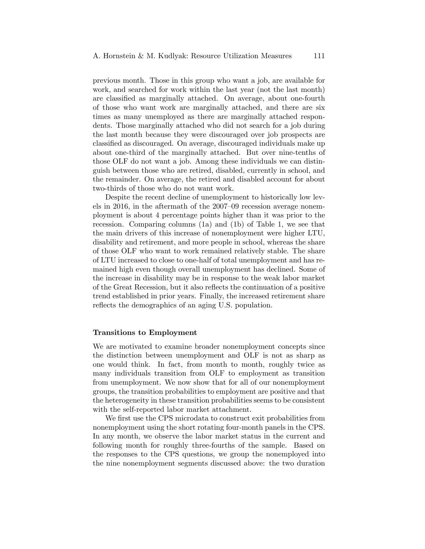previous month. Those in this group who want a job, are available for work, and searched for work within the last year (not the last month) are classified as marginally attached. On average, about one-fourth of those who want work are marginally attached, and there are six times as many unemployed as there are marginally attached respondents. Those marginally attached who did not search for a job during the last month because they were discouraged over job prospects are classified as discouraged. On average, discouraged individuals make up about one-third of the marginally attached. But over nine-tenths of those OLF do not want a job. Among these individuals we can distinguish between those who are retired, disabled, currently in school, and the remainder. On average, the retired and disabled account for about two-thirds of those who do not want work.

Despite the recent decline of unemployment to historically low levels in 2016, in the aftermath of the  $2007-09$  recession average nonemployment is about 4 percentage points higher than it was prior to the recession. Comparing columns (1a) and (1b) of Table 1, we see that the main drivers of this increase of nonemployment were higher LTU, disability and retirement, and more people in school, whereas the share of those OLF who want to work remained relatively stable. The share of LTU increased to close to one-half of total unemployment and has remained high even though overall unemployment has declined. Some of the increase in disability may be in response to the weak labor market of the Great Recession, but it also reflects the continuation of a positive trend established in prior years. Finally, the increased retirement share reflects the demographics of an aging U.S. population.

#### Transitions to Employment

We are motivated to examine broader nonemployment concepts since the distinction between unemployment and OLF is not as sharp as one would think. In fact, from month to month, roughly twice as many individuals transition from OLF to employment as transition from unemployment. We now show that for all of our nonemployment groups, the transition probabilities to employment are positive and that the heterogeneity in these transition probabilities seems to be consistent with the self-reported labor market attachment.

We first use the CPS microdata to construct exit probabilities from nonemployment using the short rotating four-month panels in the CPS. In any month, we observe the labor market status in the current and following month for roughly three-fourths of the sample. Based on the responses to the CPS questions, we group the nonemployed into the nine nonemployment segments discussed above: the two duration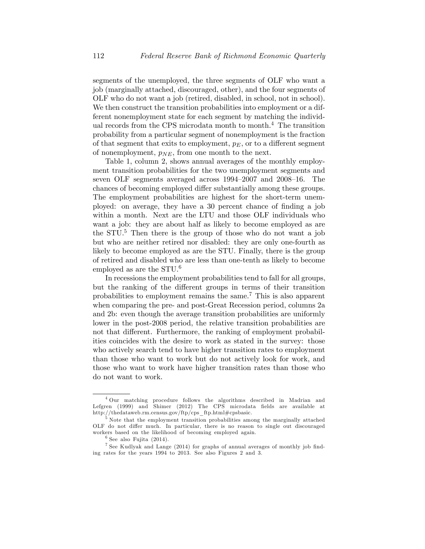segments of the unemployed, the three segments of OLF who want a job (marginally attached, discouraged, other), and the four segments of OLF who do not want a job (retired, disabled, in school, not in school). We then construct the transition probabilities into employment or a different nonemployment state for each segment by matching the individual records from the CPS microdata month to month.<sup>4</sup> The transition probability from a particular segment of nonemployment is the fraction of that segment that exits to employment,  $p_E$ , or to a different segment of nonemployment,  $p_{NE}$ , from one month to the next.

Table 1, column 2, shows annual averages of the monthly employment transition probabilities for the two unemployment segments and seven OLF segments averaged across  $1994-2007$  and  $2008-16$ . The chances of becoming employed differ substantially among these groups. The employment probabilities are highest for the short-term unemployed: on average, they have a 30 percent chance of finding a job within a month. Next are the LTU and those OLF individuals who want a job: they are about half as likely to become employed as are the  $STU<sup>5</sup>$ . Then there is the group of those who do not want a job but who are neither retired nor disabled: they are only one-fourth as likely to become employed as are the STU. Finally, there is the group of retired and disabled who are less than one-tenth as likely to become employed as are the STU.<sup>6</sup>

In recessions the employment probabilities tend to fall for all groups, but the ranking of the different groups in terms of their transition probabilities to employment remains the same.<sup>7</sup> This is also apparent when comparing the pre- and post-Great Recession period, columns 2a and 2b: even though the average transition probabilities are uniformly lower in the post-2008 period, the relative transition probabilities are not that different. Furthermore, the ranking of employment probabilities coincides with the desire to work as stated in the survey: those who actively search tend to have higher transition rates to employment than those who want to work but do not actively look for work, and those who want to work have higher transition rates than those who do not want to work.

<sup>4</sup> Our matching procedure follows the algorithms described in Madrian and Lefgren (1999) and Shimer (2012) The CPS microdata fields are available at http://thedataweb.rm.census.gov/ftp/cps\_ftp.html#cpsbasic.

<sup>&</sup>lt;sup>5</sup> Note that the employment transition probabilities among the marginally attached OLF do not differ much. In particular, there is no reason to single out discouraged workers based on the likelihood of becoming employed again.

 $6$  See also Fujita (2014).

<sup>&</sup>lt;sup>7</sup> See Kudlyak and Lange (2014) for graphs of annual averages of monthly job finding rates for the years 1994 to 2013. See also Figures 2 and 3.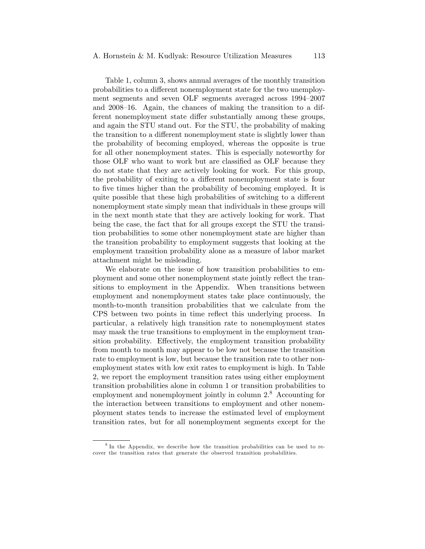Table 1, column 3, shows annual averages of the monthly transition probabilities to a different nonemployment state for the two unemployment segments and seven OLF segments averaged across 1994–2007 and  $2008-16$ . Again, the chances of making the transition to a different nonemployment state differ substantially among these groups, and again the STU stand out. For the STU, the probability of making the transition to a different nonemployment state is slightly lower than the probability of becoming employed, whereas the opposite is true for all other nonemployment states. This is especially noteworthy for those OLF who want to work but are classified as OLF because they do not state that they are actively looking for work. For this group, the probability of exiting to a different nonemployment state is four to five times higher than the probability of becoming employed. It is quite possible that these high probabilities of switching to a different nonemployment state simply mean that individuals in these groups will in the next month state that they are actively looking for work. That being the case, the fact that for all groups except the STU the transition probabilities to some other nonemployment state are higher than the transition probability to employment suggests that looking at the employment transition probability alone as a measure of labor market attachment might be misleading.

We elaborate on the issue of how transition probabilities to employment and some other nonemployment state jointly reflect the transitions to employment in the Appendix. When transitions between employment and nonemployment states take place continuously, the month-to-month transition probabilities that we calculate from the CPS between two points in time reflect this underlying process. In particular, a relatively high transition rate to nonemployment states may mask the true transitions to employment in the employment transition probability. Effectively, the employment transition probability from month to month may appear to be low not because the transition rate to employment is low, but because the transition rate to other nonemployment states with low exit rates to employment is high. In Table 2, we report the employment transition rates using either employment transition probabilities alone in column 1 or transition probabilities to employment and nonemployment jointly in column  $2.8$  Accounting for the interaction between transitions to employment and other nonemployment states tends to increase the estimated level of employment transition rates, but for all nonemployment segments except for the

<sup>&</sup>lt;sup>8</sup> In the Appendix, we describe how the transition probabilities can be used to recover the transition rates that generate the observed transition probabilities.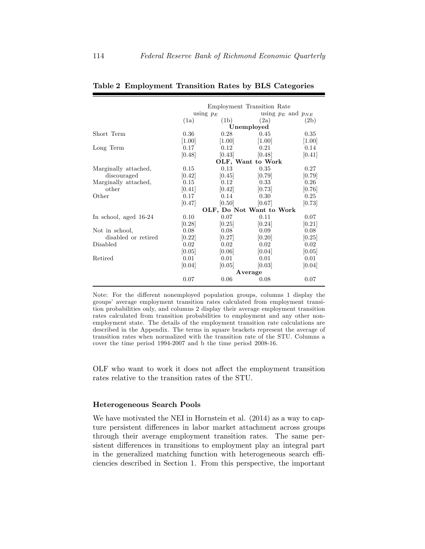|                       |             |                          | Employment Transition Rate |                          |  |  |  |
|-----------------------|-------------|--------------------------|----------------------------|--------------------------|--|--|--|
|                       | using $p_E$ |                          |                            | using $p_E$ and $p_{NE}$ |  |  |  |
|                       | (1a)        | (1b)                     | (2a)                       | (2b)                     |  |  |  |
|                       |             |                          | Unemployed                 |                          |  |  |  |
| Short Term            | 0.36        | 0.28                     | 0.45                       | 0.35                     |  |  |  |
|                       | [1.00]      | [1.00]                   | [1.00]                     | [1.00]                   |  |  |  |
| Long Term             | 0.17        | 0.12                     | 0.21                       | 0.14                     |  |  |  |
|                       | [0.48]      | [0.43]                   | [0.48]                     | [0.41]                   |  |  |  |
|                       |             |                          | OLF, Want to Work          |                          |  |  |  |
| Marginally attached,  | 0.15        | 0.13                     | 0.35                       | 0.27                     |  |  |  |
| discouraged           | [0.42]      | [0.45]                   | [0.79]                     | [0.79]                   |  |  |  |
| Marginally attached,  | 0.15        | 0.12                     | 0.33                       | 0.26                     |  |  |  |
| other                 | [0.41]      | [0.42]                   | [0.73]                     | [0.76]                   |  |  |  |
| Other                 | 0.17        | 0.14                     | 0.30                       | 0.25                     |  |  |  |
|                       | [0.47]      | [0.50]                   | [0.67]                     | [0.73]                   |  |  |  |
|                       |             | OLF, Do Not Want to Work |                            |                          |  |  |  |
| In school, aged 16-24 | 0.10        | 0.07                     | 0.11                       | 0.07                     |  |  |  |
|                       | [0.28]      | [0.25]                   | [0.24]                     | [0.21]                   |  |  |  |
| Not in school,        | 0.08        | 0.08                     | 0.09                       | 0.08                     |  |  |  |
| disabled or retired   | [0.22]      | [0.27]                   | [0.20]                     | [0.25]                   |  |  |  |
| Disabled              | 0.02        | 0.02                     | 0.02                       | 0.02                     |  |  |  |
|                       | [0.05]      | [0.06]                   | [0.04]                     | [0.05]                   |  |  |  |
| Retired               | 0.01        | 0.01                     | 0.01                       | 0.01                     |  |  |  |
|                       | [0.04]      | [0.05]                   | [0.03]                     | [0.04]                   |  |  |  |
|                       | Average     |                          |                            |                          |  |  |  |
|                       | 0.07        | 0.06                     | 0.08                       | 0.07                     |  |  |  |

#### Table 2 Employment Transition Rates by BLS Categories

Note: For the different nonemployed population groups, columns 1 display the groupsí average employment transition rates calculated from employment transition probabilities only, and columns 2 display their average employment transition rates calculated from transition probabilities to employment and any other nonemployment state. The details of the employment transition rate calculations are described in the Appendix. The terms in square brackets represent the average of transition rates when normalized with the transition rate of the STU. Columns a cover the time period 1994-2007 and b the time period 2008-16.

OLF who want to work it does not affect the employment transition rates relative to the transition rates of the STU.

## Heterogeneous Search Pools

We have motivated the NEI in Hornstein et al. (2014) as a way to capture persistent differences in labor market attachment across groups through their average employment transition rates. The same persistent differences in transitions to employment play an integral part in the generalized matching function with heterogeneous search efficiencies described in Section 1. From this perspective, the important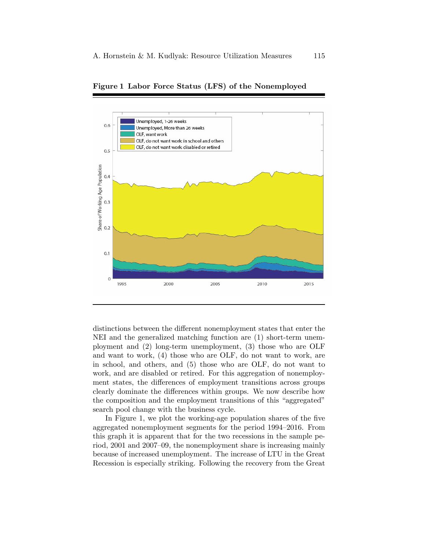

Figure 1 Labor Force Status (LFS) of the Nonemployed

distinctions between the different nonemployment states that enter the NEI and the generalized matching function are (1) short-term unemployment and (2) long-term unemployment, (3) those who are OLF and want to work, (4) those who are OLF, do not want to work, are in school, and others, and (5) those who are OLF, do not want to work, and are disabled or retired. For this aggregation of nonemployment states, the differences of employment transitions across groups clearly dominate the differences within groups. We now describe how the composition and the employment transitions of this "aggregated" search pool change with the business cycle.

In Figure 1, we plot the working-age population shares of the five aggregated nonemployment segments for the period 1994–2016. From this graph it is apparent that for the two recessions in the sample period, 2001 and 2007–09, the nonemployment share is increasing mainly because of increased unemployment. The increase of LTU in the Great Recession is especially striking. Following the recovery from the Great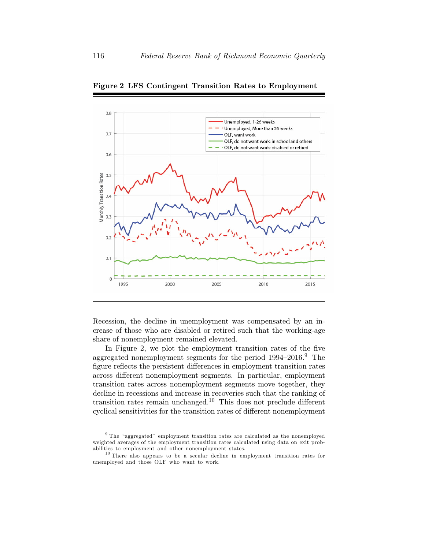

Figure 2 LFS Contingent Transition Rates to Employment

Recession, the decline in unemployment was compensated by an increase of those who are disabled or retired such that the working-age share of nonemployment remained elevated.

In Figure 2, we plot the employment transition rates of the five aggregated nonemployment segments for the period  $1994-2016$ .<sup>9</sup> The figure reflects the persistent differences in employment transition rates across different nonemployment segments. In particular, employment transition rates across nonemployment segments move together, they decline in recessions and increase in recoveries such that the ranking of transition rates remain unchanged.<sup>10</sup> This does not preclude different cyclical sensitivities for the transition rates of different nonemployment

 $9$  The "aggregated" employment transition rates are calculated as the nonemployed weighted averages of the employment transition rates calculated using data on exit probabilities to employment and other nonemployment states.

<sup>10</sup> There also appears to be a secular decline in employment transition rates for unemployed and those OLF who want to work.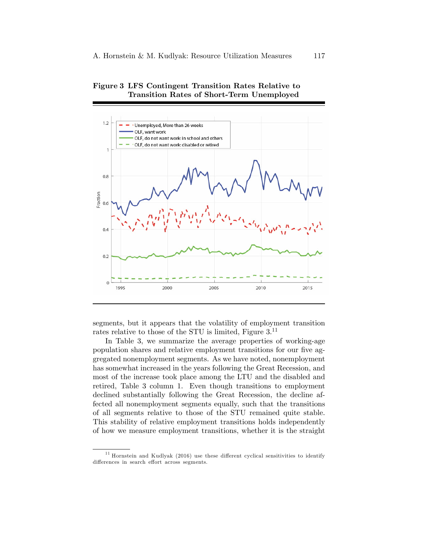

Figure 3 LFS Contingent Transition Rates Relative to Transition Rates of Short-Term Unemployed

segments, but it appears that the volatility of employment transition rates relative to those of the STU is limited, Figure 3.<sup>11</sup>

In Table 3, we summarize the average properties of working-age population shares and relative employment transitions for our five aggregated nonemployment segments. As we have noted, nonemployment has somewhat increased in the years following the Great Recession, and most of the increase took place among the LTU and the disabled and retired, Table 3 column 1. Even though transitions to employment declined substantially following the Great Recession, the decline affected all nonemployment segments equally, such that the transitions of all segments relative to those of the STU remained quite stable. This stability of relative employment transitions holds independently of how we measure employment transitions, whether it is the straight

 $11$  Hornstein and Kudlyak (2016) use these different cyclical sensitivities to identify differences in search effort across segments.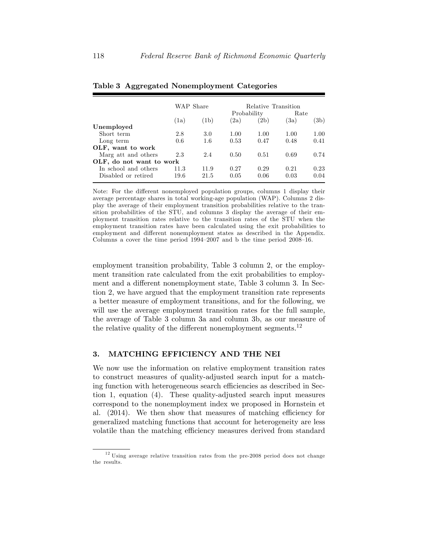|                          | WAP Share |         | Relative Transition |      |      |      |
|--------------------------|-----------|---------|---------------------|------|------|------|
|                          |           |         | Probability         |      | Rate |      |
|                          | (1a)      | (1b)    | (2a)                | (2b) | (3a) | (3b) |
| Unemployed               |           |         |                     |      |      |      |
| Short term               | 2.8       | 3.0     | 1.00                | 1.00 | 1.00 | 1.00 |
| Long term                | 0.6       | $1.6\,$ | 0.53                | 0.47 | 0.48 | 0.41 |
| OLF, want to work        |           |         |                     |      |      |      |
| Marg att and others      | 2.3       | 2.4     | 0.50                | 0.51 | 0.69 | 0.74 |
| OLF, do not want to work |           |         |                     |      |      |      |
| In school and others     | 11.3      | 11.9    | 0.27                | 0.29 | 0.21 | 0.23 |
| Disabled or retired      | 19.6      | 21.5    | 0.05                | 0.06 | 0.03 | 0.04 |

Table 3 Aggregated Nonemployment Categories

Note: For the different nonemployed population groups, columns 1 display their average percentage shares in total working-age population (WAP). Columns 2 display the average of their employment transition probabilities relative to the transition probabilities of the STU, and columns 3 display the average of their employment transition rates relative to the transition rates of the STU when the employment transition rates have been calculated using the exit probabilities to employment and different nonemployment states as described in the Appendix. Columns a cover the time period  $1994-2007$  and b the time period  $2008-16$ .

employment transition probability, Table 3 column 2, or the employment transition rate calculated from the exit probabilities to employment and a different nonemployment state, Table 3 column 3. In Section 2, we have argued that the employment transition rate represents a better measure of employment transitions, and for the following, we will use the average employment transition rates for the full sample, the average of Table 3 column 3a and column 3b, as our measure of the relative quality of the different nonemployment segments.<sup>12</sup>

# 3. MATCHING EFFICIENCY AND THE NEI

We now use the information on relative employment transition rates to construct measures of quality-adjusted search input for a matching function with heterogeneous search efficiencies as described in Section 1, equation (4). These quality-adjusted search input measures correspond to the nonemployment index we proposed in Hornstein et al.  $(2014)$ . We then show that measures of matching efficiency for generalized matching functions that account for heterogeneity are less volatile than the matching efficiency measures derived from standard

<sup>12</sup> Using average relative transition rates from the pre-2008 period does not change the results.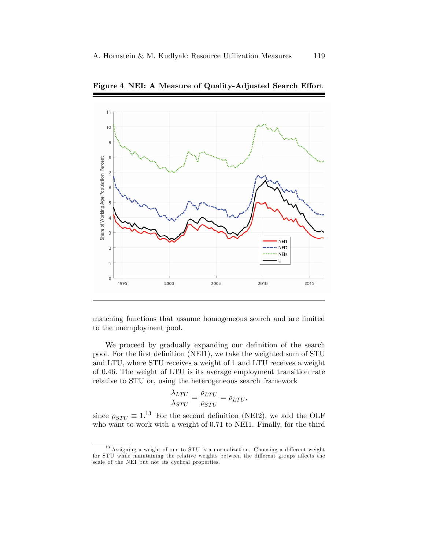

Figure 4 NEI: A Measure of Quality-Adjusted Search Effort

matching functions that assume homogeneous search and are limited to the unemployment pool.

We proceed by gradually expanding our definition of the search pool. For the first definition (NEI1), we take the weighted sum of STU and LTU, where STU receives a weight of 1 and LTU receives a weight of 0.46. The weight of LTU is its average employment transition rate relative to STU or, using the heterogeneous search framework

$$
\frac{\lambda_{LTU}}{\lambda_{STU}} = \frac{\rho_{LTU}}{\rho_{STU}} = \rho_{LTU},
$$

since  $\rho_{STU} \equiv 1^{13}$  For the second definition (NEI2), we add the OLF who want to work with a weight of 0.71 to NEI1. Finally, for the third

 $13$  Assigning a weight of one to STU is a normalization. Choosing a different weight for STU while maintaining the relative weights between the different groups affects the scale of the NEI but not its cyclical properties.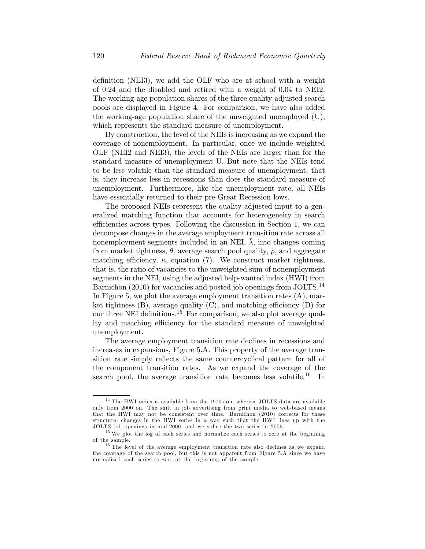definition (NEI3), we add the OLF who are at school with a weight of 0.24 and the disabled and retired with a weight of 0.04 to NEI2. The working-age population shares of the three quality-adjusted search pools are displayed in Figure 4. For comparison, we have also added the working-age population share of the unweighted unemployed (U), which represents the standard measure of unemployment.

By construction, the level of the NEIs is increasing as we expand the coverage of nonemployment. In particular, once we include weighted OLF (NEI2 and NEI3), the levels of the NEIs are larger than for the standard measure of unemployment U. But note that the NEIs tend to be less volatile than the standard measure of unemployment, that is, they increase less in recessions than does the standard measure of unemployment. Furthermore, like the unemployment rate, all NEIs have essentially returned to their pre-Great Recession lows.

The proposed NEIs represent the quality-adjusted input to a generalized matching function that accounts for heterogeneity in search efficiencies across types. Following the discussion in Section 1, we can decompose changes in the average employment transition rate across all nonemployment segments included in an NEI,  $\lambda$ , into changes coming from market tightness,  $\theta$ , average search pool quality,  $\bar{\rho}$ , and aggregate matching efficiency,  $\kappa$ , equation (7). We construct market tightness, that is, the ratio of vacancies to the unweighted sum of nonemployment segments in the NEI, using the adjusted help-wanted index (HWI) from Barnichon (2010) for vacancies and posted job openings from JOLTS.<sup>14</sup> In Figure 5, we plot the average employment transition rates  $(A)$ , market tightness  $(B)$ , average quality  $(C)$ , and matching efficiency  $(D)$  for our three NEI definitions.<sup>15</sup> For comparison, we also plot average quality and matching efficiency for the standard measure of unweighted unemployment.

The average employment transition rate declines in recessions and increases in expansions, Figure 5.A. This property of the average transition rate simply reflects the same countercyclical pattern for all of the component transition rates. As we expand the coverage of the search pool, the average transition rate becomes less volatile.<sup>16</sup> In

 $^{14}$  The HWI index is available from the 1970s on, whereas JOLTS data are available only from 2000 on. The shift in job advertising from print media to web-based means that the HWI may not be consistent over time. Barnichon (2010) corrects for these structural changes in the HWI series in a way such that the HWI lines up with the JOLTS job openings in mid-2000, and we splice the two series in 2006.

<sup>&</sup>lt;sup>15</sup> We plot the log of each series and normalize each series to zero at the beginning of the sample.

<sup>&</sup>lt;sup>16</sup> The level of the average employment transition rate also declines as we expand the coverage of the search pool, but this is not apparent from Figure 5.A since we have normalized each series to zero at the beginning of the sample.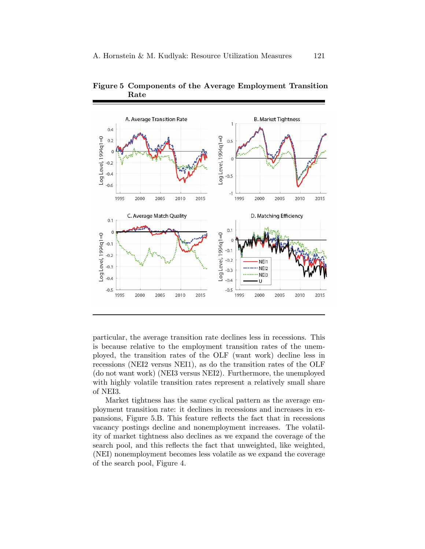

Figure 5 Components of the Average Employment Transition Rate

particular, the average transition rate declines less in recessions. This is because relative to the employment transition rates of the unemployed, the transition rates of the OLF (want work) decline less in recessions (NEI2 versus NEI1), as do the transition rates of the OLF (do not want work) (NEI3 versus NEI2). Furthermore, the unemployed with highly volatile transition rates represent a relatively small share of NEI3.

Market tightness has the same cyclical pattern as the average employment transition rate: it declines in recessions and increases in expansions, Figure 5.B. This feature reflects the fact that in recessions vacancy postings decline and nonemployment increases. The volatility of market tightness also declines as we expand the coverage of the search pool, and this reflects the fact that unweighted, like weighted, (NEI) nonemployment becomes less volatile as we expand the coverage of the search pool, Figure 4.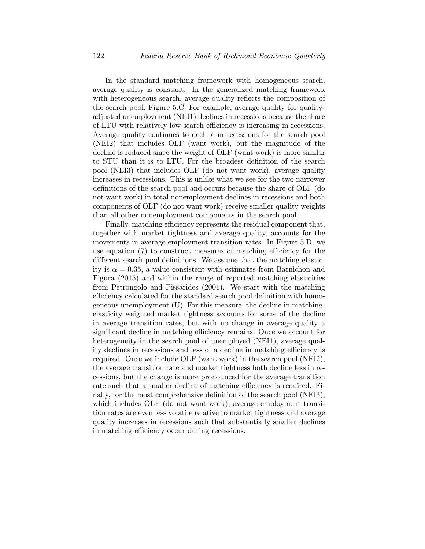In the standard matching framework with homogeneous search, average quality is constant. In the generalized matching framework with heterogeneous search, average quality reflects the composition of the search pool, Figure 5.C. For example, average quality for qualityadjusted unemployment (NEI1) declines in recessions because the share of LTU with relatively low search efficiency is increasing in recessions. Average quality continues to decline in recessions for the search pool (NEI2) that includes OLF (want work), but the magnitude of the decline is reduced since the weight of OLF (want work) is more similar to STU than it is to LTU. For the broadest definition of the search pool (NEI3) that includes OLF (do not want work), average quality increases in recessions. This is unlike what we see for the two narrower definitions of the search pool and occurs because the share of OLF (do not want work) in total nonemployment declines in recessions and both components of OLF (do not want work) receive smaller quality weights than all other nonemployment components in the search pool.

Finally, matching efficiency represents the residual component that, together with market tightness and average quality, accounts for the movements in average employment transition rates. In Figure 5.D, we use equation  $(7)$  to construct measures of matching efficiency for the different search pool definitions. We assume that the matching elasticity is  $\alpha = 0.35$ , a value consistent with estimates from Barnichon and Figura (2015) and within the range of reported matching elasticities from Petrongolo and Pissarides (2001). We start with the matching efficiency calculated for the standard search pool definition with homogeneous unemployment (U). For this measure, the decline in matchingelasticity weighted market tightness accounts for some of the decline in average transition rates, but with no change in average quality a significant decline in matching efficiency remains. Once we account for heterogeneity in the search pool of unemployed (NEI1), average quality declines in recessions and less of a decline in matching efficiency is required. Once we include OLF (want work) in the search pool (NEI2), the average transition rate and market tightness both decline less in recessions, but the change is more pronounced for the average transition rate such that a smaller decline of matching efficiency is required. Finally, for the most comprehensive definition of the search pool (NEI3), which includes OLF (do not want work), average employment transition rates are even less volatile relative to market tightness and average quality increases in recessions such that substantially smaller declines in matching efficiency occur during recessions.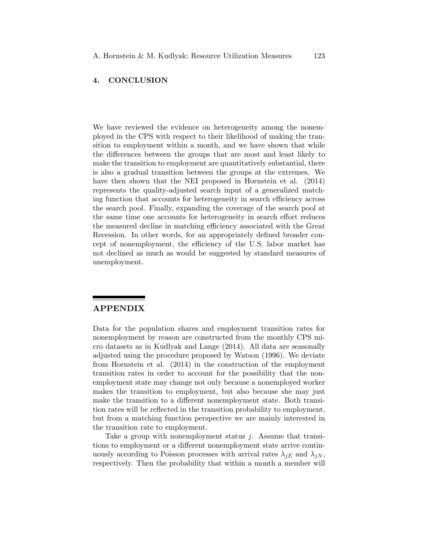## 4. CONCLUSION

We have reviewed the evidence on heterogeneity among the nonemployed in the CPS with respect to their likelihood of making the transition to employment within a month, and we have shown that while the differences between the groups that are most and least likely to make the transition to employment are quantitatively substantial, there is also a gradual transition between the groups at the extremes. We have then shown that the NEI proposed in Hornstein et al.  $(2014)$ represents the quality-adjusted search input of a generalized matching function that accounts for heterogeneity in search efficiency across the search pool. Finally, expanding the coverage of the search pool at the same time one accounts for heterogeneity in search effort reduces the measured decline in matching efficiency associated with the Great Recession. In other words, for an appropriately defined broader concept of nonemployment, the efficiency of the U.S. labor market has not declined as much as would be suggested by standard measures of unemployment.

# APPENDIX

Data for the population shares and employment transition rates for nonemployment by reason are constructed from the monthly CPS micro datasets as in Kudlyak and Lange (2014). All data are seasonally adjusted using the procedure proposed by Watson (1996). We deviate from Hornstein et al. (2014) in the construction of the employment transition rates in order to account for the possibility that the nonemployment state may change not only because a nonemployed worker makes the transition to employment, but also because she may just make the transition to a different nonemployment state. Both transition rates will be reflected in the transition probability to employment, but from a matching function perspective we are mainly interested in the transition rate to employment.

Take a group with nonemployment status  $j$ . Assume that transitions to employment or a different nonemployment state arrive continuously according to Poisson processes with arrival rates  $\lambda_{iE}$  and  $\lambda_{iN}$ , respectively. Then the probability that within a month a member will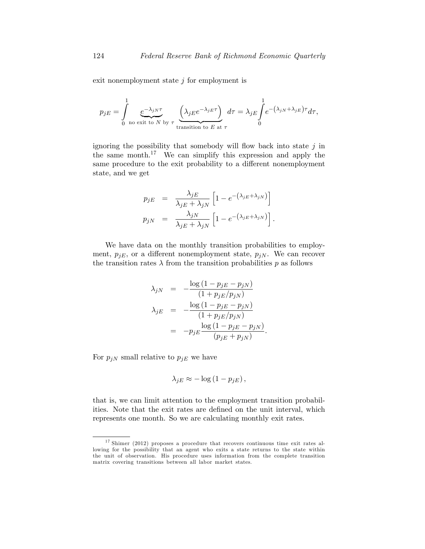exit nonemployment state  $j$  for employment is

$$
p_{jE} = \int_{0}^{1} \underbrace{e^{-\lambda_{jN}\tau}}_{\text{no exit to } N \text{ by } \tau} \underbrace{\left(\lambda_{jE}e^{-\lambda_{jE}\tau}\right)}_{\text{transition to } E \text{ at } \tau} d\tau = \lambda_{jE} \int_{0}^{1} e^{-\left(\lambda_{jN} + \lambda_{jE}\right)\tau} d\tau,
$$

ignoring the possibility that somebody will flow back into state  $j$  in the same month.<sup>17</sup> We can simplify this expression and apply the same procedure to the exit probability to a different nonemployment state, and we get

$$
p_{jE} = \frac{\lambda_{jE}}{\lambda_{jE} + \lambda_{jN}} \left[ 1 - e^{-(\lambda_{jE} + \lambda_{jN})} \right]
$$
  

$$
p_{jN} = \frac{\lambda_{jN}}{\lambda_{jE} + \lambda_{jN}} \left[ 1 - e^{-(\lambda_{jE} + \lambda_{jN})} \right].
$$

We have data on the monthly transition probabilities to employment,  $p_{jE}$ , or a different nonemployment state,  $p_{jN}$ . We can recover the transition rates  $\lambda$  from the transition probabilities p as follows

$$
\lambda_{jN} = -\frac{\log(1 - p_{jE} - p_{jN})}{(1 + p_{jE}/p_{jN})}
$$
\n
$$
\lambda_{jE} = -\frac{\log(1 - p_{jE} - p_{jN})}{(1 + p_{jE}/p_{jN})}
$$
\n
$$
= -p_{jE} \frac{\log(1 - p_{jE} - p_{jN})}{(p_{jE} + p_{jN})}
$$

:

For  $p_{jN}$  small relative to  $p_{jE}$  we have

$$
\lambda_{jE} \approx -\log\left(1 - p_{jE}\right),\,
$$

that is, we can limit attention to the employment transition probabilities. Note that the exit rates are defined on the unit interval, which represents one month. So we are calculating monthly exit rates.

<sup>17</sup> Shimer (2012) proposes a procedure that recovers continuous time exit rates allowing for the possibility that an agent who exits a state returns to the state within the unit of observation. His procedure uses information from the complete transition matrix covering transitions between all labor market states.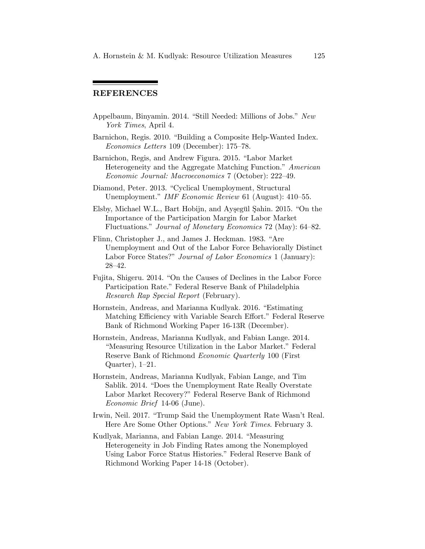# REFERENCES

- Appelbaum, Binyamin. 2014. "Still Needed: Millions of Jobs." New York Times, April 4.
- Barnichon, Regis. 2010. "Building a Composite Help-Wanted Index.  $Economics Letters 109 (December): 175–78.$
- Barnichon, Regis, and Andrew Figura. 2015. "Labor Market Heterogeneity and the Aggregate Matching Function." American Economic Journal: Macroeconomics 7 (October): 222–49.
- Diamond, Peter. 2013. "Cyclical Unemployment, Structural Unemployment." IMF Economic Review 61 (August): 410–55.
- Elsby, Michael W.L., Bart Hobijn, and Ayşegül Şahin. 2015. "On the Importance of the Participation Margin for Labor Market Fluctuations." Journal of Monetary Economics 72 (May): 64–82.
- Flinn, Christopher J., and James J. Heckman. 1983. "Are Unemployment and Out of the Labor Force Behaviorally Distinct Labor Force States?" Journal of Labor Economics 1 (January):  $28 - 42.$
- Fujita, Shigeru. 2014. "On the Causes of Declines in the Labor Force Participation Rate." Federal Reserve Bank of Philadelphia Research Rap Special Report (February).
- Hornstein, Andreas, and Marianna Kudlyak. 2016. "Estimating Matching Efficiency with Variable Search Effort." Federal Reserve Bank of Richmond Working Paper 16-13R (December).
- Hornstein, Andreas, Marianna Kudlyak, and Fabian Lange. 2014. "Measuring Resource Utilization in the Labor Market." Federal Reserve Bank of Richmond Economic Quarterly 100 (First Quarter),  $1-21$ .
- Hornstein, Andreas, Marianna Kudlyak, Fabian Lange, and Tim Sablik. 2014. "Does the Unemployment Rate Really Overstate Labor Market Recovery?" Federal Reserve Bank of Richmond Economic Brief 14-06 (June).
- Irwin, Neil. 2017. "Trump Said the Unemployment Rate Wasn't Real. Here Are Some Other Options." New York Times. February 3.
- Kudlyak, Marianna, and Fabian Lange. 2014. "Measuring Heterogeneity in Job Finding Rates among the Nonemployed Using Labor Force Status Histories." Federal Reserve Bank of Richmond Working Paper 14-18 (October).